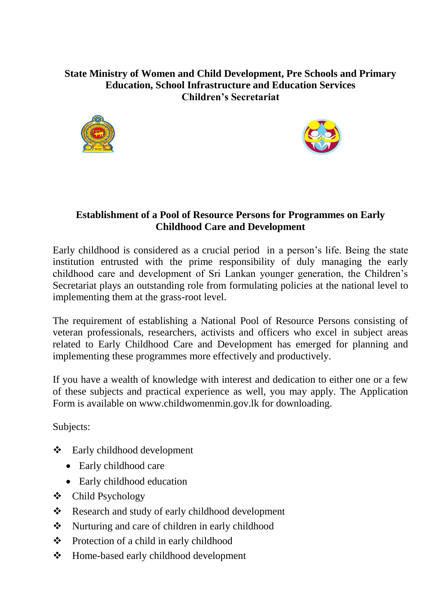## **State Ministry of Women and Child Development, Pre Schools and Primary Education, School Infrastructure and Education Services Children's Secretariat**





## **Establishment of a Pool of Resource Persons for Programmes on Early Childhood Care and Development**

Early childhood is considered as a crucial period in a person's life. Being the state institution entrusted with the prime responsibility of duly managing the early childhood care and development of Sri Lankan younger generation, the Children's Secretariat plays an outstanding role from formulating policies at the national level to implementing them at the grass-root level.

The requirement of establishing a National Pool of Resource Persons consisting of veteran professionals, researchers, activists and officers who excel in subject areas related to Early Childhood Care and Development has emerged for planning and implementing these programmes more effectively and productively.

If you have a wealth of knowledge with interest and dedication to either one or a few of these subjects and practical experience as well, you may apply. The Application Form is available on www.childwomenmin.gov.lk for downloading.

Subjects:

- Early childhood development
	- Early childhood care
	- Early childhood education
- Child Psychology
- \* Research and study of early childhood development
- Nurturing and care of children in early childhood
- Protection of a child in early childhood
- Home-based early childhood development